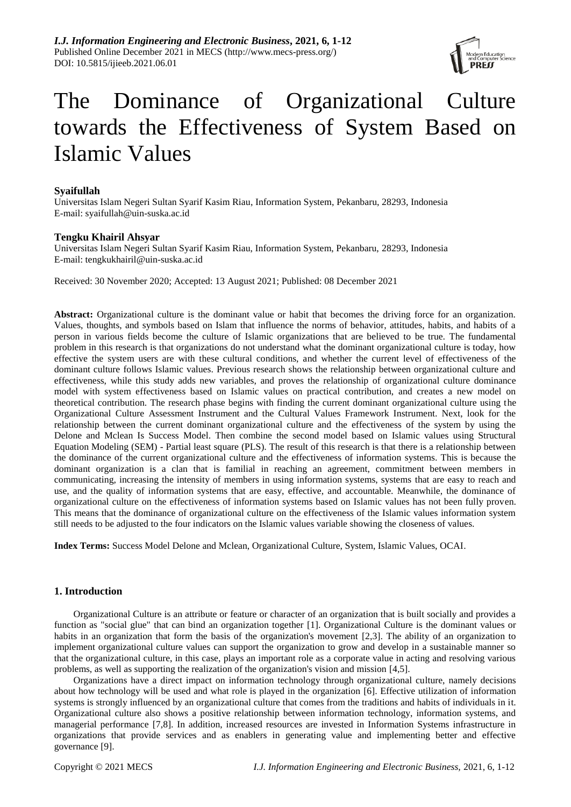

# The Dominance of Organizational Culture towards the Effectiveness of System Based on Islamic Values

# **Syaifullah**

Universitas Islam Negeri Sultan Syarif Kasim Riau, Information System, Pekanbaru, 28293, Indonesia E-mail: syaifullah@uin-suska.ac.id

# **Tengku Khairil Ahsyar**

Universitas Islam Negeri Sultan Syarif Kasim Riau, Information System, Pekanbaru, 28293, Indonesia E-mail: tengkukhairil@uin-suska.ac.id

Received: 30 November 2020; Accepted: 13 August 2021; Published: 08 December 2021

**Abstract:** Organizational culture is the dominant value or habit that becomes the driving force for an organization. Values, thoughts, and symbols based on Islam that influence the norms of behavior, attitudes, habits, and habits of a person in various fields become the culture of Islamic organizations that are believed to be true. The fundamental problem in this research is that organizations do not understand what the dominant organizational culture is today, how effective the system users are with these cultural conditions, and whether the current level of effectiveness of the dominant culture follows Islamic values. Previous research shows the relationship between organizational culture and effectiveness, while this study adds new variables, and proves the relationship of organizational culture dominance model with system effectiveness based on Islamic values on practical contribution, and creates a new model on theoretical contribution. The research phase begins with finding the current dominant organizational culture using the Organizational Culture Assessment Instrument and the Cultural Values Framework Instrument. Next, look for the relationship between the current dominant organizational culture and the effectiveness of the system by using the Delone and Mclean Is Success Model. Then combine the second model based on Islamic values using Structural Equation Modeling (SEM) - Partial least square (PLS). The result of this research is that there is a relationship between the dominance of the current organizational culture and the effectiveness of information systems. This is because the dominant organization is a clan that is familial in reaching an agreement, commitment between members in communicating, increasing the intensity of members in using information systems, systems that are easy to reach and use, and the quality of information systems that are easy, effective, and accountable. Meanwhile, the dominance of organizational culture on the effectiveness of information systems based on Islamic values has not been fully proven. This means that the dominance of organizational culture on the effectiveness of the Islamic values information system still needs to be adjusted to the four indicators on the Islamic values variable showing the closeness of values.

**Index Terms:** Success Model Delone and Mclean, Organizational Culture, System, Islamic Values, OCAI.

# **1. Introduction**

Organizational Culture is an attribute or feature or character of an organization that is built socially and provides a function as "social glue" that can bind an organization together [1]. Organizational Culture is the dominant values or habits in an organization that form the basis of the organization's movement [2,3]. The ability of an organization to implement organizational culture values can support the organization to grow and develop in a sustainable manner so that the organizational culture, in this case, plays an important role as a corporate value in acting and resolving various problems, as well as supporting the realization of the organization's vision and mission [4,5].

Organizations have a direct impact on information technology through organizational culture, namely decisions about how technology will be used and what role is played in the organization [6]. Effective utilization of information systems is strongly influenced by an organizational culture that comes from the traditions and habits of individuals in it. Organizational culture also shows a positive relationship between information technology, information systems, and managerial performance [7,8]. In addition, increased resources are invested in Information Systems infrastructure in organizations that provide services and as enablers in generating value and implementing better and effective governance [9].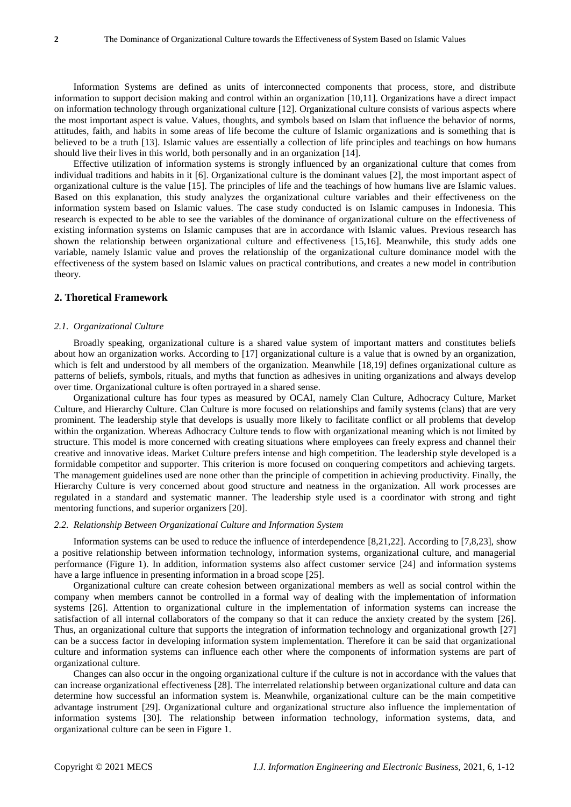Information Systems are defined as units of interconnected components that process, store, and distribute information to support decision making and control within an organization [10,11]. Organizations have a direct impact on information technology through organizational culture [12]. Organizational culture consists of various aspects where the most important aspect is value. Values, thoughts, and symbols based on Islam that influence the behavior of norms, attitudes, faith, and habits in some areas of life become the culture of Islamic organizations and is something that is believed to be a truth [13]. Islamic values are essentially a collection of life principles and teachings on how humans should live their lives in this world, both personally and in an organization [14].

Effective utilization of information systems is strongly influenced by an organizational culture that comes from individual traditions and habits in it [6]. Organizational culture is the dominant values [2], the most important aspect of organizational culture is the value [15]. The principles of life and the teachings of how humans live are Islamic values. Based on this explanation, this study analyzes the organizational culture variables and their effectiveness on the information system based on Islamic values. The case study conducted is on Islamic campuses in Indonesia. This research is expected to be able to see the variables of the dominance of organizational culture on the effectiveness of existing information systems on Islamic campuses that are in accordance with Islamic values. Previous research has shown the relationship between organizational culture and effectiveness [15,16]. Meanwhile, this study adds one variable, namely Islamic value and proves the relationship of the organizational culture dominance model with the effectiveness of the system based on Islamic values on practical contributions, and creates a new model in contribution theory.

# **2. Thoretical Framework**

## *2.1. Organizational Culture*

Broadly speaking, organizational culture is a shared value system of important matters and constitutes beliefs about how an organization works. According to [17] organizational culture is a value that is owned by an organization, which is felt and understood by all members of the organization. Meanwhile [18,19] defines organizational culture as patterns of beliefs, symbols, rituals, and myths that function as adhesives in uniting organizations and always develop over time. Organizational culture is often portrayed in a shared sense.

Organizational culture has four types as measured by OCAI, namely Clan Culture, Adhocracy Culture, Market Culture, and Hierarchy Culture. Clan Culture is more focused on relationships and family systems (clans) that are very prominent. The leadership style that develops is usually more likely to facilitate conflict or all problems that develop within the organization. Whereas Adhocracy Culture tends to flow with organizational meaning which is not limited by structure. This model is more concerned with creating situations where employees can freely express and channel their creative and innovative ideas. Market Culture prefers intense and high competition. The leadership style developed is a formidable competitor and supporter. This criterion is more focused on conquering competitors and achieving targets. The management guidelines used are none other than the principle of competition in achieving productivity. Finally, the Hierarchy Culture is very concerned about good structure and neatness in the organization. All work processes are regulated in a standard and systematic manner. The leadership style used is a coordinator with strong and tight mentoring functions, and superior organizers [20].

## *2.2. Relationship Between Organizational Culture and Information System*

Information systems can be used to reduce the influence of interdependence [8,21,22]. According to [7,8,23], show a positive relationship between information technology, information systems, organizational culture, and managerial performance (Figure 1). In addition, information systems also affect customer service [24] and information systems have a large influence in presenting information in a broad scope [25].

Organizational culture can create cohesion between organizational members as well as social control within the company when members cannot be controlled in a formal way of dealing with the implementation of information systems [26]. Attention to organizational culture in the implementation of information systems can increase the satisfaction of all internal collaborators of the company so that it can reduce the anxiety created by the system [26]. Thus, an organizational culture that supports the integration of information technology and organizational growth [27] can be a success factor in developing information system implementation. Therefore it can be said that organizational culture and information systems can influence each other where the components of information systems are part of organizational culture.

Changes can also occur in the ongoing organizational culture if the culture is not in accordance with the values that can increase organizational effectiveness [28]. The interrelated relationship between organizational culture and data can determine how successful an information system is. Meanwhile, organizational culture can be the main competitive advantage instrument [29]. Organizational culture and organizational structure also influence the implementation of information systems [30]. The relationship between information technology, information systems, data, and organizational culture can be seen in Figure 1.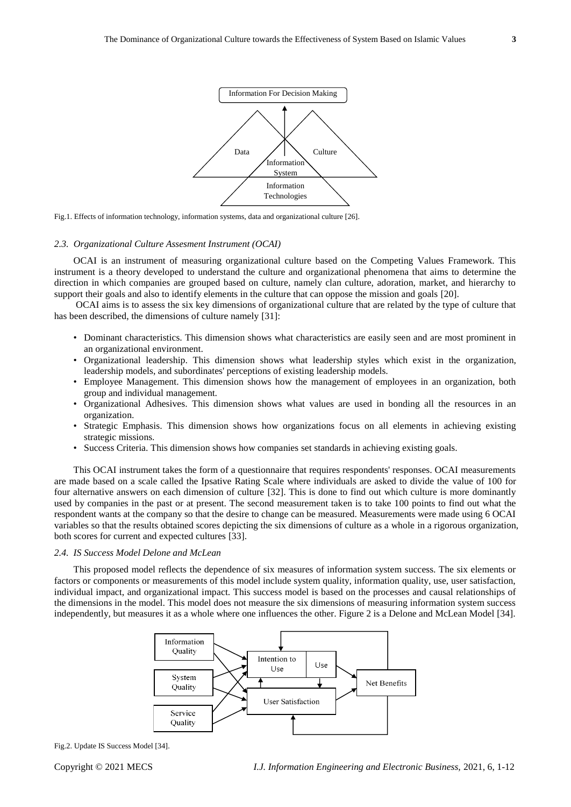

Fig.1. Effects of information technology, information systems, data and organizational culture [26].

#### *2.3. Organizational Culture Assesment Instrument (OCAI)*

OCAI is an instrument of measuring organizational culture based on the Competing Values Framework. This instrument is a theory developed to understand the culture and organizational phenomena that aims to determine the direction in which companies are grouped based on culture, namely clan culture, adoration, market, and hierarchy to support their goals and also to identify elements in the culture that can oppose the mission and goals [20].

OCAI aims is to assess the six key dimensions of organizational culture that are related by the type of culture that has been described, the dimensions of culture namely [31]:

- Dominant characteristics. This dimension shows what characteristics are easily seen and are most prominent in an organizational environment.
- Organizational leadership. This dimension shows what leadership styles which exist in the organization, leadership models, and subordinates' perceptions of existing leadership models.
- Employee Management. This dimension shows how the management of employees in an organization, both group and individual management.
- Organizational Adhesives. This dimension shows what values are used in bonding all the resources in an organization.
- Strategic Emphasis. This dimension shows how organizations focus on all elements in achieving existing strategic missions.
- Success Criteria. This dimension shows how companies set standards in achieving existing goals.

This OCAI instrument takes the form of a questionnaire that requires respondents' responses. OCAI measurements are made based on a scale called the Ipsative Rating Scale where individuals are asked to divide the value of 100 for four alternative answers on each dimension of culture [32]. This is done to find out which culture is more dominantly used by companies in the past or at present. The second measurement taken is to take 100 points to find out what the respondent wants at the company so that the desire to change can be measured. Measurements were made using 6 OCAI variables so that the results obtained scores depicting the six dimensions of culture as a whole in a rigorous organization, both scores for current and expected cultures [33].

#### *2.4. IS Success Model Delone and McLean*

This proposed model reflects the dependence of six measures of information system success. The six elements or factors or components or measurements of this model include system quality, information quality, use, user satisfaction, individual impact, and organizational impact. This success model is based on the processes and causal relationships of the dimensions in the model. This model does not measure the six dimensions of measuring information system success independently, but measures it as a whole where one influences the other. Figure 2 is a Delone and McLean Model [34].



Fig.2. Update IS Success Model [34].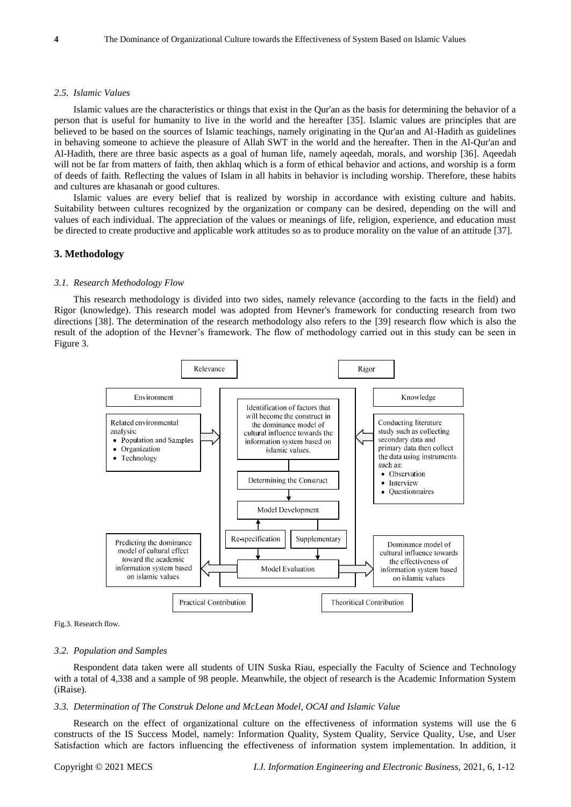#### *2.5. Islamic Values*

Islamic values are the characteristics or things that exist in the Qur'an as the basis for determining the behavior of a person that is useful for humanity to live in the world and the hereafter [35]. Islamic values are principles that are believed to be based on the sources of Islamic teachings, namely originating in the Qur'an and Al-Hadith as guidelines in behaving someone to achieve the pleasure of Allah SWT in the world and the hereafter. Then in the Al-Qur'an and Al-Hadith, there are three basic aspects as a goal of human life, namely aqeedah, morals, and worship [36]. Aqeedah will not be far from matters of faith, then akhlaq which is a form of ethical behavior and actions, and worship is a form of deeds of faith. Reflecting the values of Islam in all habits in behavior is including worship. Therefore, these habits and cultures are khasanah or good cultures.

Islamic values are every belief that is realized by worship in accordance with existing culture and habits. Suitability between cultures recognized by the organization or company can be desired, depending on the will and values of each individual. The appreciation of the values or meanings of life, religion, experience, and education must be directed to create productive and applicable work attitudes so as to produce morality on the value of an attitude [37].

## **3. Methodology**

#### *3.1. Research Methodology Flow*

This research methodology is divided into two sides, namely relevance (according to the facts in the field) and Rigor (knowledge). This research model was adopted from Hevner's framework for conducting research from two directions [38]. The determination of the research methodology also refers to the [39] research flow which is also the result of the adoption of the Hevner's framework. The flow of methodology carried out in this study can be seen in Figure 3.



Fig.3. Research flow.

#### *3.2. Population and Samples*

Respondent data taken were all students of UIN Suska Riau, especially the Faculty of Science and Technology with a total of 4,338 and a sample of 98 people. Meanwhile, the object of research is the Academic Information System (iRaise).

#### *3.3. Determination of The Construk Delone and McLean Model, OCAI and Islamic Value*

Research on the effect of organizational culture on the effectiveness of information systems will use the 6 constructs of the IS Success Model, namely: Information Quality, System Quality, Service Quality, Use, and User Satisfaction which are factors influencing the effectiveness of information system implementation. In addition, it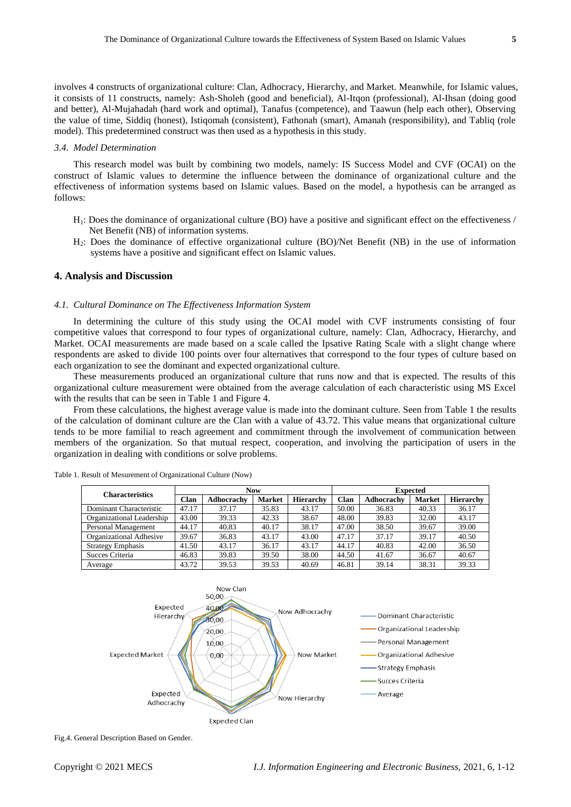involves 4 constructs of organizational culture: Clan, Adhocracy, Hierarchy, and Market. Meanwhile, for Islamic values, it consists of 11 constructs, namely: Ash-Sholeh (good and beneficial), Al-Itqon (professional), Al-Ihsan (doing good and better), Al-Mujahadah (hard work and optimal), Tanafus (competence), and Taawun (help each other), Observing the value of time, Siddiq (honest), Istiqomah (consistent), Fathonah (smart), Amanah (responsibility), and Tabliq (role model). This predetermined construct was then used as a hypothesis in this study.

#### *3.4. Model Determination*

This research model was built by combining two models, namely: IS Success Model and CVF (OCAI) on the construct of Islamic values to determine the influence between the dominance of organizational culture and the effectiveness of information systems based on Islamic values. Based on the model, a hypothesis can be arranged as follows:

- H1: Does the dominance of organizational culture (BO) have a positive and significant effect on the effectiveness / Net Benefit (NB) of information systems.
- H2: Does the dominance of effective organizational culture (BO)/Net Benefit (NB) in the use of information systems have a positive and significant effect on Islamic values.

## **4. Analysis and Discussion**

## *4.1. Cultural Dominance on The Effectiveness Information System*

In determining the culture of this study using the OCAI model with CVF instruments consisting of four competitive values that correspond to four types of organizational culture, namely: Clan, Adhocracy, Hierarchy, and Market. OCAI measurements are made based on a scale called the Ipsative Rating Scale with a slight change where respondents are asked to divide 100 points over four alternatives that correspond to the four types of culture based on each organization to see the dominant and expected organizational culture.

These measurements produced an organizational culture that runs now and that is expected. The results of this organizational culture measurement were obtained from the average calculation of each characteristic using MS Excel with the results that can be seen in Table 1 and Figure 4.

From these calculations, the highest average value is made into the dominant culture. Seen from Table 1 the results of the calculation of dominant culture are the Clan with a value of 43.72. This value means that organizational culture tends to be more familial to reach agreement and commitment through the involvement of communication between members of the organization. So that mutual respect, cooperation, and involving the participation of users in the organization in dealing with conditions or solve problems.

| <b>Characteristics</b>    | <b>Now</b> |            |               |           | <b>Expected</b> |            |               |                  |
|---------------------------|------------|------------|---------------|-----------|-----------------|------------|---------------|------------------|
|                           | Clan       | Adhocrachy | <b>Market</b> | Hierarchy | Clan            | Adhocrachy | <b>Market</b> | <b>Hierarchy</b> |
| Dominant Characteristic   | 47.17      | 37.17      | 35.83         | 43.17     | 50.00           | 36.83      | 40.33         | 36.17            |
| Organizational Leadership | 43.00      | 39.33      | 42.33         | 38.67     | 48.00           | 39.83      | 32.00         | 43.17            |
| Personal Management       | 44.17      | 40.83      | 40.17         | 38.17     | 47.00           | 38.50      | 39.67         | 39.00            |
| Organizational Adhesive   | 39.67      | 36.83      | 43.17         | 43.00     | 47.17           | 37.17      | 39.17         | 40.50            |
| <b>Strategy Emphasis</b>  | 41.50      | 43.17      | 36.17         | 43.17     | 44.17           | 40.83      | 42.00         | 36.50            |
| Succes Criteria           | 46.83      | 39.83      | 39.50         | 38.00     | 44.50           | 41.67      | 36.67         | 40.67            |
| Average                   | 43.72      | 39.53      | 39.53         | 40.69     | 46.81           | 39.14      | 38.31         | 39.33            |

Table 1. Result of Mesurement of Organizational Culture (Now)



Fig.4. General Description Based on Gender.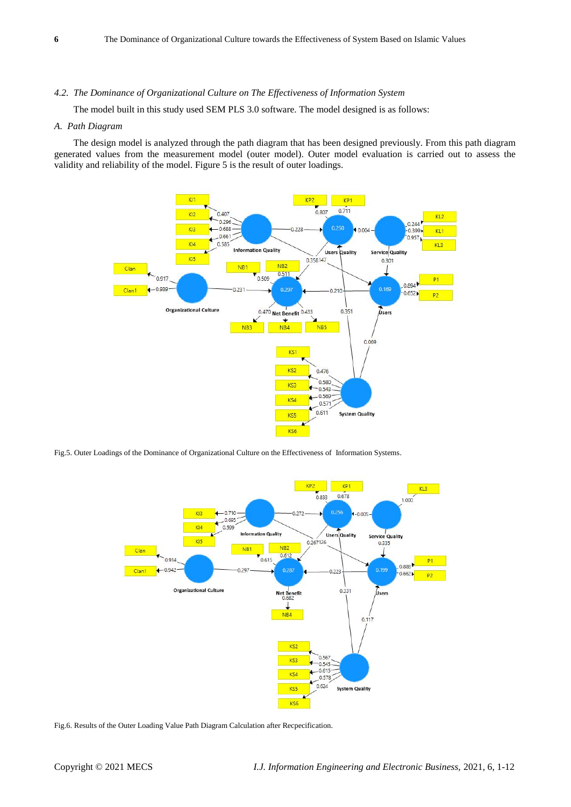## *4.2. The Dominance of Organizational Culture on The Effectiveness of Information System*

The model built in this study used SEM PLS 3.0 software. The model designed is as follows:

## *A. Path Diagram*

The design model is analyzed through the path diagram that has been designed previously. From this path diagram generated values from the measurement model (outer model). Outer model evaluation is carried out to assess the validity and reliability of the model. Figure 5 is the result of outer loadings.



Fig.5. Outer Loadings of the Dominance of Organizational Culture on the Effectiveness of Information Systems.



Fig.6. Results of the Outer Loading Value Path Diagram Calculation after Recpecification.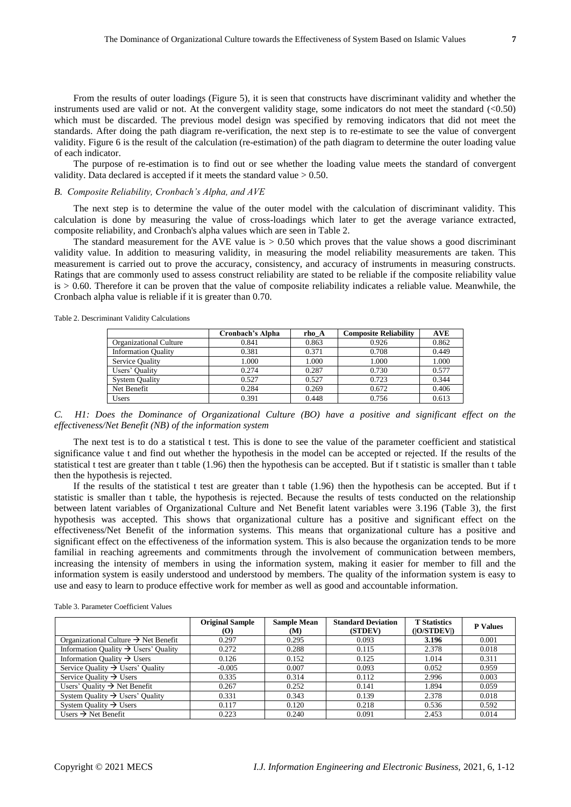From the results of outer loadings (Figure 5), it is seen that constructs have discriminant validity and whether the instruments used are valid or not. At the convergent validity stage, some indicators do not meet the standard (<0.50) which must be discarded. The previous model design was specified by removing indicators that did not meet the standards. After doing the path diagram re-verification, the next step is to re-estimate to see the value of convergent validity. Figure 6 is the result of the calculation (re-estimation) of the path diagram to determine the outer loading value of each indicator.

The purpose of re-estimation is to find out or see whether the loading value meets the standard of convergent validity. Data declared is accepted if it meets the standard value  $> 0.50$ .

## *B. Composite Reliability, Cronbach's Alpha, and AVE*

The next step is to determine the value of the outer model with the calculation of discriminant validity. This calculation is done by measuring the value of cross-loadings which later to get the average variance extracted, composite reliability, and Cronbach's alpha values which are seen in Table 2.

The standard measurement for the AVE value is  $> 0.50$  which proves that the value shows a good discriminant validity value. In addition to measuring validity, in measuring the model reliability measurements are taken. This measurement is carried out to prove the accuracy, consistency, and accuracy of instruments in measuring constructs. Ratings that are commonly used to assess construct reliability are stated to be reliable if the composite reliability value  $is > 0.60$ . Therefore it can be proven that the value of composite reliability indicates a reliable value. Meanwhile, the Cronbach alpha value is reliable if it is greater than 0.70.

Table 2. Descriminant Validity Calculations

|                            | Cronbach's Alpha | rho A | <b>Composite Reliability</b> | <b>AVE</b> |
|----------------------------|------------------|-------|------------------------------|------------|
| Organizational Culture     | 0.841            | 0.863 | 0.926                        | 0.862      |
| <b>Information Quality</b> | 0.381            | 0.371 | 0.708                        | 0.449      |
| <b>Service Quality</b>     | 1.000            | 1.000 | 1.000                        | 1.000      |
| Users' Quality             | 0.274            | 0.287 | 0.730                        | 0.577      |
| <b>System Quality</b>      | 0.527            | 0.527 | 0.723                        | 0.344      |
| Net Benefit                | 0.284            | 0.269 | 0.672                        | 0.406      |
| Users                      | 0.391            | 0.448 | 0.756                        | 0.613      |

*C. H1: Does the Dominance of Organizational Culture (BO) have a positive and significant effect on the effectiveness/Net Benefit (NB) of the information system*

The next test is to do a statistical t test. This is done to see the value of the parameter coefficient and statistical significance value t and find out whether the hypothesis in the model can be accepted or rejected. If the results of the statistical t test are greater than t table (1.96) then the hypothesis can be accepted. But if t statistic is smaller than t table then the hypothesis is rejected.

If the results of the statistical t test are greater than t table  $(1.96)$  then the hypothesis can be accepted. But if t statistic is smaller than t table, the hypothesis is rejected. Because the results of tests conducted on the relationship between latent variables of Organizational Culture and Net Benefit latent variables were 3.196 (Table 3), the first hypothesis was accepted. This shows that organizational culture has a positive and significant effect on the effectiveness/Net Benefit of the information systems. This means that organizational culture has a positive and significant effect on the effectiveness of the information system. This is also because the organization tends to be more familial in reaching agreements and commitments through the involvement of communication between members, increasing the intensity of members in using the information system, making it easier for member to fill and the information system is easily understood and understood by members. The quality of the information system is easy to use and easy to learn to produce effective work for member as well as good and accountable information.

Table 3. Parameter Coefficient Values

|                                                  | <b>Original Sample</b><br><b>(O)</b> | <b>Sample Mean</b><br>(M) | <b>Standard Deviation</b><br>(STDEV) | <b>T</b> Statistics<br>( O/STDEV ) | <b>P</b> Values |
|--------------------------------------------------|--------------------------------------|---------------------------|--------------------------------------|------------------------------------|-----------------|
| Organizational Culture $\rightarrow$ Net Benefit | 0.297                                | 0.295                     | 0.093                                | 3.196                              | 0.001           |
| Information Quality $\rightarrow$ Users' Quality | 0.272                                | 0.288                     | 0.115                                | 2.378                              | 0.018           |
| Information Quality $\rightarrow$ Users          | 0.126                                | 0.152                     | 0.125                                | 1.014                              | 0.311           |
| Service Quality $\rightarrow$ Users' Quality     | $-0.005$                             | 0.007                     | 0.093                                | 0.052                              | 0.959           |
| Service Quality $\rightarrow$ Users              | 0.335                                | 0.314                     | 0.112                                | 2.996                              | 0.003           |
| Users' Quality $\rightarrow$ Net Benefit         | 0.267                                | 0.252                     | 0.141                                | 1.894                              | 0.059           |
| System Quality $\rightarrow$ Users' Quality      | 0.331                                | 0.343                     | 0.139                                | 2.378                              | 0.018           |
| System Quality $\rightarrow$ Users               | 0.117                                | 0.120                     | 0.218                                | 0.536                              | 0.592           |
| Users $\rightarrow$ Net Benefit                  | 0.223                                | 0.240                     | 0.091                                | 2.453                              | 0.014           |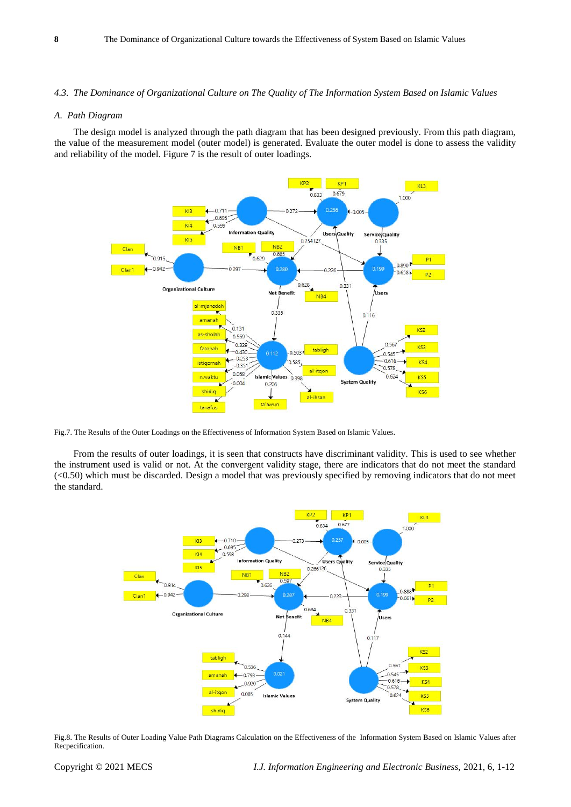## *4.3. The Dominance of Organizational Culture on The Quality of The Information System Based on Islamic Values*

## *A. Path Diagram*

The design model is analyzed through the path diagram that has been designed previously. From this path diagram, the value of the measurement model (outer model) is generated. Evaluate the outer model is done to assess the validity and reliability of the model. Figure 7 is the result of outer loadings.



Fig.7. The Results of the Outer Loadings on the Effectiveness of Information System Based on Islamic Values.

From the results of outer loadings, it is seen that constructs have discriminant validity. This is used to see whether the instrument used is valid or not. At the convergent validity stage, there are indicators that do not meet the standard  $( $0.50$ ) which must be discarded. Design a model that was previously specified by removing indicators that do not meet$ the standard.



Fig.8. The Results of Outer Loading Value Path Diagrams Calculation on the Effectiveness of the Information System Based on Islamic Values after Recpecification.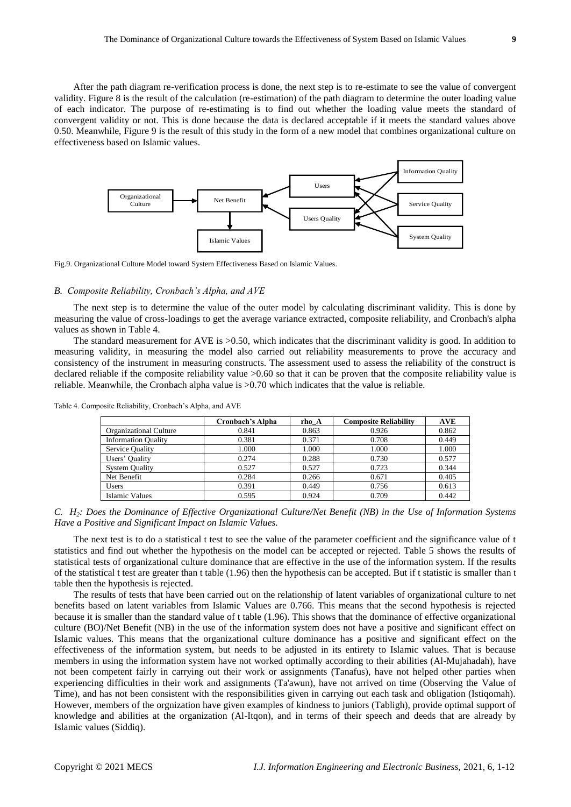After the path diagram re-verification process is done, the next step is to re-estimate to see the value of convergent validity. Figure 8 is the result of the calculation (re-estimation) of the path diagram to determine the outer loading value of each indicator. The purpose of re-estimating is to find out whether the loading value meets the standard of convergent validity or not. This is done because the data is declared acceptable if it meets the standard values above 0.50. Meanwhile, Figure 9 is the result of this study in the form of a new model that combines organizational culture on effectiveness based on Islamic values.



Fig.9. Organizational Culture Model toward System Effectiveness Based on Islamic Values.

#### *B. Composite Reliability, Cronbach's Alpha, and AVE*

The next step is to determine the value of the outer model by calculating discriminant validity. This is done by measuring the value of cross-loadings to get the average variance extracted, composite reliability, and Cronbach's alpha values as shown in Table 4.

The standard measurement for AVE is >0.50, which indicates that the discriminant validity is good. In addition to measuring validity, in measuring the model also carried out reliability measurements to prove the accuracy and consistency of the instrument in measuring constructs. The assessment used to assess the reliability of the construct is declared reliable if the composite reliability value  $>0.60$  so that it can be proven that the composite reliability value is reliable. Meanwhile, the Cronbach alpha value is >0.70 which indicates that the value is reliable.

|                            | Cronbach's Alpha | rho A | <b>Composite Reliability</b> | <b>AVE</b> |
|----------------------------|------------------|-------|------------------------------|------------|
| Organizational Culture     | 0.841            | 0.863 | 0.926                        | 0.862      |
| <b>Information Quality</b> | 0.381            | 0.371 | 0.708                        | 0.449      |
| <b>Service Quality</b>     | 1.000            | 1.000 | 1.000                        | 1.000      |
| Users' Quality             | 0.274            | 0.288 | 0.730                        | 0.577      |
| <b>System Quality</b>      | 0.527            | 0.527 | 0.723                        | 0.344      |
| Net Benefit                | 0.284            | 0.266 | 0.671                        | 0.405      |
| <b>Users</b>               | 0.391            | 0.449 | 0.756                        | 0.613      |
| <b>Islamic Values</b>      | 0.595            | 0.924 | 0.709                        | 0.442      |

Table 4. Composite Reliability, Cronbach's Alpha, and AVE

*C. H2: Does the Dominance of Effective Organizational Culture/Net Benefit (NB) in the Use of Information Systems Have a Positive and Significant Impact on Islamic Values.*

The next test is to do a statistical t test to see the value of the parameter coefficient and the significance value of t statistics and find out whether the hypothesis on the model can be accepted or rejected. Table 5 shows the results of statistical tests of organizational culture dominance that are effective in the use of the information system. If the results of the statistical t test are greater than t table (1.96) then the hypothesis can be accepted. But if t statistic is smaller than t table then the hypothesis is rejected.

The results of tests that have been carried out on the relationship of latent variables of organizational culture to net benefits based on latent variables from Islamic Values are 0.766. This means that the second hypothesis is rejected because it is smaller than the standard value of t table (1.96). This shows that the dominance of effective organizational culture (BO)/Net Benefit (NB) in the use of the information system does not have a positive and significant effect on Islamic values. This means that the organizational culture dominance has a positive and significant effect on the effectiveness of the information system, but needs to be adjusted in its entirety to Islamic values. That is because members in using the information system have not worked optimally according to their abilities (Al-Mujahadah), have not been competent fairly in carrying out their work or assignments (Tanafus), have not helped other parties when experiencing difficulties in their work and assignments (Ta'awun), have not arrived on time (Observing the Value of Time), and has not been consistent with the responsibilities given in carrying out each task and obligation (Istiqomah). However, members of the orgnization have given examples of kindness to juniors (Tabligh), provide optimal support of knowledge and abilities at the organization (Al-Itqon), and in terms of their speech and deeds that are already by Islamic values (Siddiq).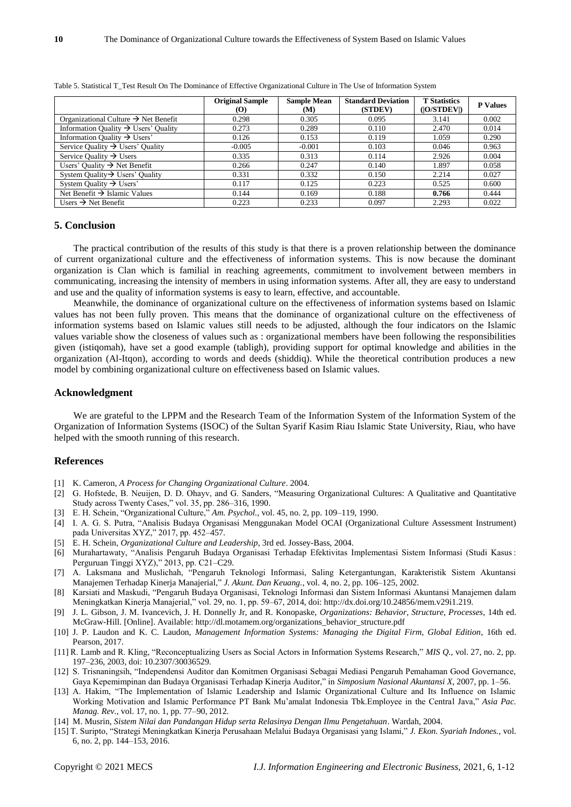|                                                  | <b>Original Sample</b><br>$\mathbf{(O)}$ | <b>Sample Mean</b><br>(M) | <b>Standard Deviation</b><br>(STDEV) | <b>T</b> Statistics<br>( O/STDEV ) | <b>P</b> Values |
|--------------------------------------------------|------------------------------------------|---------------------------|--------------------------------------|------------------------------------|-----------------|
| Organizational Culture $\rightarrow$ Net Benefit | 0.298                                    | 0.305                     | 0.095                                | 3.141                              | 0.002           |
| Information Quality $\rightarrow$ Users' Quality | 0.273                                    | 0.289                     | 0.110                                | 2.470                              | 0.014           |
| Information Quality $\rightarrow$ Users'         | 0.126                                    | 0.153                     | 0.119                                | 1.059                              | 0.290           |
| Service Ouality $\rightarrow$ Users' Ouality     | $-0.005$                                 | $-0.001$                  | 0.103                                | 0.046                              | 0.963           |
| Service Quality $\rightarrow$ Users              | 0.335                                    | 0.313                     | 0.114                                | 2.926                              | 0.004           |
| Users' Quality $\rightarrow$ Net Benefit         | 0.266                                    | 0.247                     | 0.140                                | 1.897                              | 0.058           |
| System Quality $\rightarrow$ Users' Quality      | 0.331                                    | 0.332                     | 0.150                                | 2.214                              | 0.027           |
| System Quality $\rightarrow$ Users'              | 0.117                                    | 0.125                     | 0.223                                | 0.525                              | 0.600           |
| Net Benefit $\rightarrow$ Islamic Values         | 0.144                                    | 0.169                     | 0.188                                | 0.766                              | 0.444           |
| Users $\rightarrow$ Net Benefit                  | 0.223                                    | 0.233                     | 0.097                                | 2.293                              | 0.022           |

Table 5. Statistical T\_Test Result On The Dominance of Effective Organizational Culture in The Use of Information System

## **5. Conclusion**

The practical contribution of the results of this study is that there is a proven relationship between the dominance of current organizational culture and the effectiveness of information systems. This is now because the dominant organization is Clan which is familial in reaching agreements, commitment to involvement between members in communicating, increasing the intensity of members in using information systems. After all, they are easy to understand and use and the quality of information systems is easy to learn, effective, and accountable.

Meanwhile, the dominance of organizational culture on the effectiveness of information systems based on Islamic values has not been fully proven. This means that the dominance of organizational culture on the effectiveness of information systems based on Islamic values still needs to be adjusted, although the four indicators on the Islamic values variable show the closeness of values such as : organizational members have been following the responsibilities given (istiqomah), have set a good example (tabligh), providing support for optimal knowledge and abilities in the organization (Al-Itqon), according to words and deeds (shiddiq). While the theoretical contribution produces a new model by combining organizational culture on effectiveness based on Islamic values.

## **Acknowledgment**

We are grateful to the LPPM and the Research Team of the Information System of the Information System of the Organization of Information Systems (ISOC) of the Sultan Syarif Kasim Riau Islamic State University, Riau, who have helped with the smooth running of this research.

# **References**

- [1] K. Cameron, *A Process for Changing Organizational Culture*. 2004.
- [2] G. Hofstede, B. Neuijen, D. D. Ohayv, and G. Sanders, "Measuring Organizational Cultures: A Qualitative and Quantitative Study across Twenty Cases," vol. 35, pp. 286–316, 1990.
- [3] E. H. Schein, "Organizational Culture," *Am. Psychol.*, vol. 45, no. 2, pp. 109–119, 1990.
- [4] I. A. G. S. Putra, "Analisis Budaya Organisasi Menggunakan Model OCAI (Organizational Culture Assessment Instrument) pada Universitas XYZ," 2017, pp. 452–457.
- [5] E. H. Schein, *Organizational Culture and Leadership*, 3rd ed. Jossey-Bass, 2004.
- [6] Murahartawaty, "Analisis Pengaruh Budaya Organisasi Terhadap Efektivitas Implementasi Sistem Informasi (Studi Kasus : Perguruan Tinggi XYZ)," 2013, pp. C21–C29.
- [7] A. Laksmana and Muslichah, "Pengaruh Teknologi Informasi, Saling Ketergantungan, Karakteristik Sistem Akuntansi Manajemen Terhadap Kinerja Manajerial," *J. Akunt. Dan Keuang.*, vol. 4, no. 2, pp. 106–125, 2002.
- [8] Karsiati and Maskudi, "Pengaruh Budaya Organisasi, Teknologi Informasi dan Sistem Informasi Akuntansi Manajemen dalam Meningkatkan Kinerja Manajerial," vol. 29, no. 1, pp. 59–67, 2014, doi: http://dx.doi.org/10.24856/mem.v29i1.219.
- [9] J. L. Gibson, J. M. Ivancevich, J. H. Donnelly Jr, and R. Konopaske, *Organizations: Behavior, Structure, Processes*, 14th ed. McGraw-Hill. [Online]. Available: http://dl.motamem.org/organizations\_behavior\_structure.pdf
- [10] J. P. Laudon and K. C. Laudon, *Management Information Systems: Managing the Digital Firm, Global Edition*, 16th ed. Pearson, 2017.
- [11] R. Lamb and R. Kling, "Reconceptualizing Users as Social Actors in Information Systems Research," *MIS Q.*, vol. 27, no. 2, pp. 197–236, 2003, doi: 10.2307/30036529.
- [12] S. Trisnaningsih, "Independensi Auditor dan Komitmen Organisasi Sebagai Mediasi Pengaruh Pemahaman Good Governance, Gaya Kepemimpinan dan Budaya Organisasi Terhadap Kinerja Auditor," in *Simposium Nasional Akuntansi X*, 2007, pp. 1–56.
- [13] A. Hakim, "The Implementation of Islamic Leadership and Islamic Organizational Culture and Its Influence on Islamic Working Motivation and Islamic Performance PT Bank Mu'amalat Indonesia Tbk.Employee in the Central Java," *Asia Pac. Manag. Rev.*, vol. 17, no. 1, pp. 77–90, 2012.
- [14] M. Musrin, *Sistem Nilai dan Pandangan Hidup serta Relasinya Dengan Ilmu Pengetahuan*. Wardah, 2004.
- [15] T. Suripto, "Strategi Meningkatkan Kinerja Perusahaan Melalui Budaya Organisasi yang Islami," *J. Ekon. Syariah Indones.*, vol. 6, no. 2, pp. 144–153, 2016.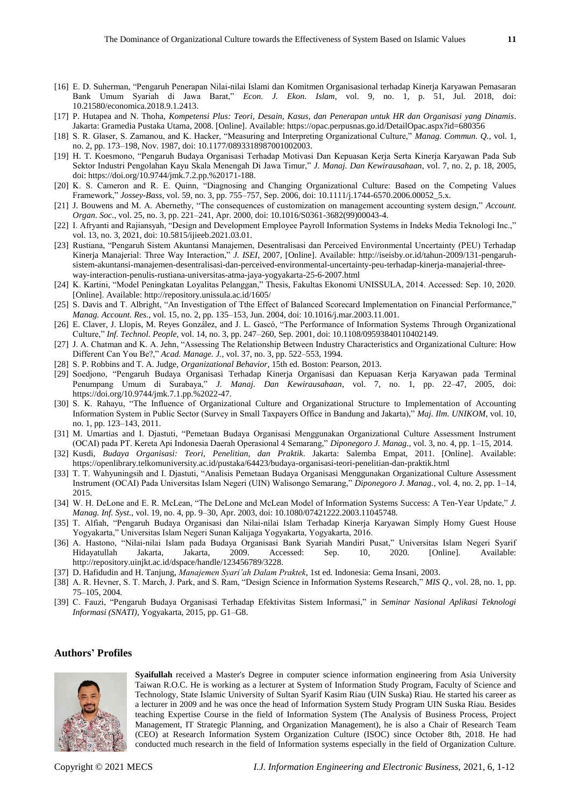- [16] E. D. Suherman, "Pengaruh Penerapan Nilai-nilai Islami dan Komitmen Organisasional terhadap Kinerja Karyawan Pemasaran Bank Umum Syariah di Jawa Barat," *Econ. J. Ekon. Islam*, vol. 9, no. 1, p. 51, Jul. 2018, doi: 10.21580/economica.2018.9.1.2413.
- [17] P. Hutapea and N. Thoha, *Kompetensi Plus: Teori, Desain, Kasus, dan Penerapan untuk HR dan Organisasi yang Dinamis*. Jakarta: Gramedia Pustaka Utama, 2008. [Online]. Available: https://opac.perpusnas.go.id/DetailOpac.aspx?id=680356
- [18] S. R. Glaser, S. Zamanou, and K. Hacker, "Measuring and Interpreting Organizational Culture," *Manag. Commun. Q.*, vol. 1, no. 2, pp. 173–198, Nov. 1987, doi: 10.1177/0893318987001002003.
- [19] H. T. Koesmono, "Pengaruh Budaya Organisasi Terhadap Motivasi Dan Kepuasan Kerja Serta Kinerja Karyawan Pada Sub Sektor Industri Pengolahan Kayu Skala Menengah Di Jawa Timur," *J. Manaj. Dan Kewirausahaan*, vol. 7, no. 2, p. 18, 2005, doi: https://doi.org/10.9744/jmk.7.2.pp.%20171-188.
- [20] K. S. Cameron and R. E. Quinn, "Diagnosing and Changing Organizational Culture: Based on the Competing Values Framework," *Jossey-Bass*, vol. 59, no. 3, pp. 755–757, Sep. 2006, doi: 10.1111/j.1744-6570.2006.00052\_5.x.
- [21] J. Bouwens and M. A. Abernethy, "The consequences of customization on management accounting system design," *Account. Organ. Soc.*, vol. 25, no. 3, pp. 221–241, Apr. 2000, doi: 10.1016/S0361-3682(99)00043-4.
- [22] I. Afryanti and Rajiansyah, "Design and Development Employee Payroll Information Systems in Indeks Media Teknologi Inc.," vol. 13, no. 3, 2021, doi: 10.5815/ijieeb.2021.03.01.
- [23] Rustiana, "Pengaruh Sistem Akuntansi Manajemen, Desentralisasi dan Perceived Environmental Uncertainty (PEU) Terhadap Kinerja Manajerial: Three Way Interaction," *J. ISEI*, 2007, [Online]. Available: http://iseisby.or.id/tahun-2009/131-pengaruhsistem-akuntansi-manajemen-desentralisasi-dan-perceived-environmental-uncertainty-peu-terhadap-kinerja-manajerial-threeway-interaction-penulis-rustiana-universitas-atma-jaya-yogyakarta-25-6-2007.html
- [24] K. Kartini, "Model Peningkatan Loyalitas Pelanggan," Thesis, Fakultas Ekonomi UNISSULA, 2014. Accessed: Sep. 10, 2020. [Online]. Available: http://repository.unissula.ac.id/1605/
- [25] S. Davis and T. Albright, "An Investigation of Tthe Effect of Balanced Scorecard Implementation on Financial Performance," *Manag. Account. Res.*, vol. 15, no. 2, pp. 135–153, Jun. 2004, doi: 10.1016/j.mar.2003.11.001.
- [26] E. Claver, J. Llopis, M. Reyes González, and J. L. Gascó, "The Performance of Information Systems Through Organizational Culture," *Inf. Technol. People*, vol. 14, no. 3, pp. 247–260, Sep. 2001, doi: 10.1108/09593840110402149.
- [27] J. A. Chatman and K. A. Jehn, "Assessing The Relationship Between Industry Characteristics and Organizational Culture: How Different Can You Be?," *Acad. Manage. J.*, vol. 37, no. 3, pp. 522–553, 1994.
- [28] S. P. Robbins and T. A. Judge, *Organizational Behavior*, 15th ed. Boston: Pearson, 2013.
- [29] Soedjono, "Pengaruh Budaya Organisasi Terhadap Kinerja Organisasi dan Kepuasan Kerja Karyawan pada Terminal Penumpang Umum di Surabaya," *J. Manaj. Dan Kewirausahaan*, vol. 7, no. 1, pp. 22–47, 2005, doi: https://doi.org/10.9744/jmk.7.1.pp.%2022-47.
- [30] S. K. Rahayu, "The Influence of Organizational Culture and Organizational Structure to Implementation of Accounting Information System in Public Sector (Survey in Small Taxpayers Office in Bandung and Jakarta)," *Maj. Ilm. UNIKOM*, vol. 10, no. 1, pp. 123–143, 2011.
- [31] M. Umartias and I. Djastuti, "Pemetaan Budaya Organisasi Menggunakan Organizational Culture Assessment Instrument (OCAI) pada PT. Kereta Api Indonesia Daerah Operasional 4 Semarang," *Diponegoro J. Manag.*, vol. 3, no. 4, pp. 1–15, 2014.
- [32] Kusdi, *Budaya Organisasi: Teori, Penelitian, dan Praktik*. Jakarta: Salemba Empat, 2011. [Online]. Available: https://openlibrary.telkomuniversity.ac.id/pustaka/64423/budaya-organisasi-teori-penelitian-dan-praktik.html
- [33] T. T. Wahyuningsih and I. Djastuti, "Analisis Pemetaan Budaya Organisasi Menggunakan Organizational Culture Assessment Instrument (OCAI) Pada Universitas Islam Negeri (UIN) Walisongo Semarang," *Diponegoro J. Manag.*, vol. 4, no. 2, pp. 1–14, 2015.
- [34] W. H. DeLone and E. R. McLean, "The DeLone and McLean Model of Information Systems Success: A Ten-Year Update," *J. Manag. Inf. Syst.*, vol. 19, no. 4, pp. 9–30, Apr. 2003, doi: 10.1080/07421222.2003.11045748.
- [35] T. Alfiah, "Pengaruh Budaya Organisasi dan Nilai-nilai Islam Terhadap Kinerja Karyawan Simply Homy Guest House Yogyakarta," Universitas Islam Negeri Sunan Kalijaga Yogyakarta, Yogyakarta, 2016.
- [36] A. Hastono, "Nilai-nilai Islam pada Budaya Organisasi Bank Syariah Mandiri Pusat," Universitas Islam Negeri Syarif Hidayatullah Jakarta, Jakarta, 2009. Accessed: Sep. 10, 2020. [Online]. Available: http://repository.uinjkt.ac.id/dspace/handle/123456789/3228.
- [37] D. Hafidudin and H. Tanjung, *Manajemen Syari'ah Dalam Praktek*, 1st ed. Indonesia: Gema Insani, 2003.
- [38] A. R. Hevner, S. T. March, J. Park, and S. Ram, "Design Science in Information Systems Research," *MIS Q.*, vol. 28, no. 1, pp. 75–105, 2004.
- [39] C. Fauzi, "Pengaruh Budaya Organisasi Terhadap Efektivitas Sistem Informasi," in *Seminar Nasional Aplikasi Teknologi Informasi (SNATI)*, Yogyakarta, 2015, pp. G1–G8.

## **Authors' Profiles**



**Syaifullah** received a Master's Degree in computer science information engineering from Asia University Taiwan R.O.C. He is working as a lecturer at System of Information Study Program, Faculty of Science and Technology, State Islamic University of Sultan Syarif Kasim Riau (UIN Suska) Riau. He started his career as a lecturer in 2009 and he was once the head of Information System Study Program UIN Suska Riau. Besides teaching Expertise Course in the field of Information System (The Analysis of Business Process, Project Management, IT Strategic Planning, and Organization Management), he is also a Chair of Research Team (CEO) at Research Information System Organization Culture (ISOC) since October 8th, 2018. He had conducted much research in the field of Information systems especially in the field of Organization Culture.